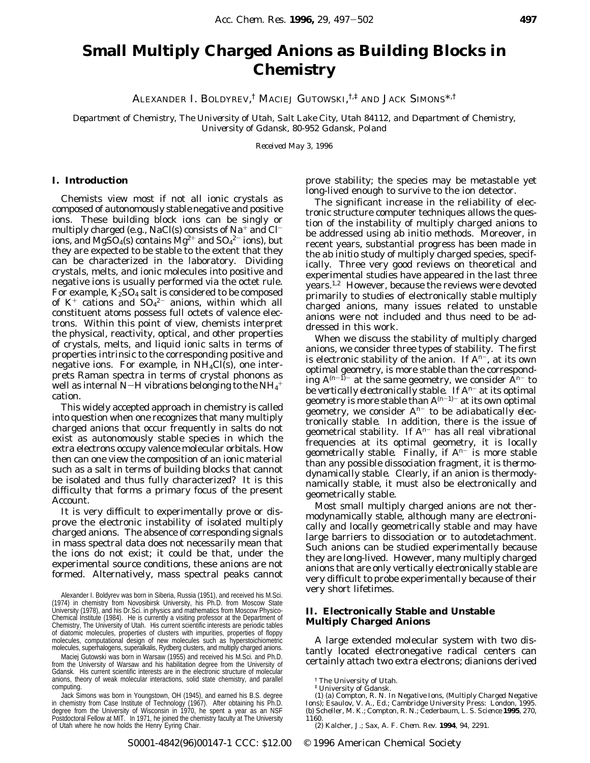# **Small Multiply Charged Anions as Building Blocks in Chemistry**

ALEXANDER I. BOLDYREV, † MACIEJ GUTOWSKI, †,‡ AND JACK SIMONS\*,†

*Department of Chemistry, The University of Utah, Salt Lake City, Utah 84112, and Department of Chemistry, University of Gdansk, 80-952 Gdansk, Poland*

*Received May 3, 1996*

### **I. Introduction**

Chemists view most if not all ionic crystals as composed of *autonomously stable* negative and positive ions. These building block ions can be singly or multiply charged (e.g., NaCl(s) consists of  $Na^+$  and  $Cl^$ ions, and MgSO<sub>4</sub>(s) contains Mg<sup>2+</sup> and SO<sub>4</sub><sup>2-</sup> ions), but they are expected to be stable to the extent that they can be characterized in the laboratory. Dividing crystals, melts, and ionic molecules into positive and negative ions is usually performed via the octet rule. For example,  $K_2SO_4$  salt is considered to be composed of  $K^+$  cations and  $SO_4^2$  anions, within which all constituent atoms possess full octets of valence electrons. Within this point of view, chemists interpret the physical, reactivity, optical, and other properties of crystals, melts, and liquid ionic salts in terms of properties *intrinsic* to the corresponding positive and negative ions. For example, in  $NH<sub>4</sub>Cl(s)$ , one interprets Raman spectra in terms of crystal phonons as well as internal N $-$ H vibrations belonging to the N $\rm H_4^+$ cation.

This widely accepted approach in chemistry is called into question when one recognizes that many multiply charged anions that occur frequently in salts do not exist as autonomously stable species in which the extra electrons occupy valence molecular orbitals. How then can one view the composition of an ionic material such as a salt in terms of building blocks that cannot be isolated and thus fully characterized? It is this difficulty that forms a primary focus of the present Account.

It is very difficult to experimentally prove or disprove the electronic instability of isolated multiply charged anions. The absence of corresponding signals in mass spectral data does not necessarily mean that the ions do not exist; it could be that, under the experimental source conditions, these anions are not formed. Alternatively, mass spectral peaks cannot

Alexander I. Boldyrev was born in Siberia, Russia (1951), and received his M.Sci. (1974) in chemistry from Novosibirsk University, his Ph.D. from Moscow State University (1978), and his Dr.Sci. in physics and mathematics from Moscow Physico-Chemical Institute (1984). He is currently a visiting professor at the Department of Chemistry, The University of Utah. His current scientific interests are periodic tables of diatomic molecules, properties of clusters with impurities, properties of floppy molecules, computational design of new molecules such as hyperstoichiometric molecules, superhalogens, superalkalis, Rydberg clusters, and multiply charged anions.

Maciej Gutowski was born in Warsaw (1955) and received his M.Sci. and Ph.D. from the University of Warsaw and his habilitation degree from the University of Gdansk. His current scientific interests are in the electronic structure of molecular anions, theory of weak molecular interactions, solid state chemistry, and parallel computing.

Jack Simons was born in Youngstown, OH (1945), and earned his B.S. degree in chemistry from Case Institute of Technology (1967). After obtaining his Ph.D. degree from the University of Wisconsin in 1970, he spent a year as an NSF Postdoctoral Fellow at MIT. In 1971, he joined the chemistry faculty at The University of Utah where he now holds the Henry Eyring Chair.

prove stability; the species may be metastable yet long-lived enough to survive to the ion detector.

The significant increase in the reliability of electronic structure computer techniques allows the question of the instability of multiply charged anions to be addressed using *ab initio* methods. Moreover, in recent years, substantial progress has been made in the *ab initio* study of multiply charged species, specifically. Three very good reviews on theoretical and experimental studies have appeared in the last three years.1,2 However, because the reviews were devoted primarily to studies of electronically *stable* multiply charged anions, many issues related to unstable anions were not included and thus need to be addressed in this work.

When we discuss the stability of multiply charged anions, we consider three types of stability. The first is electronic stability of the anion. If A*<sup>n</sup>*-, at its own optimal geometry, is more stable than the corresponding A(*n*-1)- at the *same* geometry, we consider A*<sup>n</sup>*- to be *vertically electronically stable*. If A*<sup>n</sup>*- at its optimal geometry is more stable than  $A^{(n-1)-}$  at its own optimal geometry, we consider A*<sup>n</sup>*- to be *adiabatically electronically stable*. In addition, there is the issue of geometrical stability. If A*<sup>n</sup>*- has all real vibrational frequencies at its optimal geometry, it is *locally geometrically stable*. Finally, if A*<sup>n</sup>*- is more stable than any possible dissociation fragment, it is *thermodynamically stable*. Clearly, if an anion is thermodynamically stable, it must also be electronically and geometrically stable.

Most small multiply charged anions are not thermodynamically stable, although many are electronically and locally geometrically stable and may have large barriers to dissociation or to autodetachment. Such anions can be studied experimentally because they are long-lived. However, many multiply charged anions that are only vertically electronically stable are very difficult to probe experimentally because of their very short lifetimes.

## **II. Electronically Stable and Unstable Multiply Charged Anions**

A large extended molecular system with two distantly located electronegative radical centers can certainly attach two extra electrons; dianions derived

(1) (a) Compton, R. N. In *Negative Ions*, *(Multiply Charged Negative Ions)*; Esaulov, V. A., Ed.; Cambridge University Press: London, 1995. (b) Scheller, M. K.; Compton, R. N.; Cederbaum, L. S. *Science* **1995**, *270*, 1160.

(2) Kalcher, J.; Sax, A. F. *Chem. Rev*. **1994**, *94*, 2291.

S0001-4842(96)00147-1 CCC: \$12.00 © 1996 American Chemical Society

<sup>†</sup> The University of Utah.

<sup>‡</sup> University of Gdansk.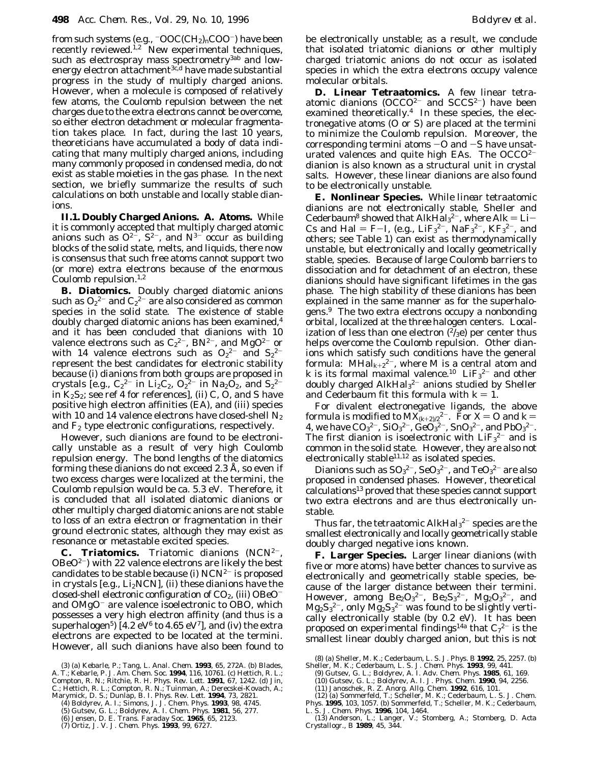from such systems (e.g.,  $\overline{-} \text{OOC}(\text{CH}_2)_n\text{COO}^-$ ) have been recently reviewed.<sup>1,2</sup> New experimental techniques, such as electrospray mass spectrometry<sup>3ab</sup> and lowenergy electron attachment<sup>3c,d</sup> have made substantial progress in the study of multiply charged anions. However, when a molecule is composed of relatively few atoms, the Coulomb repulsion between the net charges due to the extra electrons cannot be overcome, so either electron detachment or molecular fragmentation takes place. In fact, during the last 10 years, theoreticians have accumulated a body of data indicating that many multiply charged anions, including many commonly proposed in condensed media, do not exist as stable moieties in the gas phase. In the next section, we briefly summarize the results of such calculations on both unstable and locally stable dianions.

**II.1. Doubly Charged Anions. A. Atoms.** While it is commonly accepted that multiply charged atomic anions such as  $O^{2-}$ ,  $S^{2-}$ , and  $N^{3-}$  occur as building blocks of the solid state, melts, and liquids, there now is consensus that such free atoms cannot support two (or more) extra electrons because of the enormous Coulomb repulsion. $1,2$ 

**B. Diatomics.** Doubly charged diatomic anions such as  $O_2{}^{2-}$  and  $C_2{}^{2-}$  are also considered as common species in the solid state. The existence of stable doubly charged diatomic anions has been examined,<sup>4</sup> and it has been concluded that dianions with 10 valence electrons such as  $C_2^2$ , BN<sup>2-</sup>, and MgO<sup>2-</sup> or with 14 valence electrons such as  $O_2^2$  and  $S_2^2$ represent the best candidates for electronic stability because (i) dianions from both groups are proposed in crystals [e.g.,  $C_2^2$  in Li<sub>2</sub>C<sub>2</sub>,  $O_2^2$  in Na<sub>2</sub>O<sub>2</sub>, and S<sub>2</sub><sup>2</sup> in  $K_2S_2$ ; see ref 4 for references], (ii) C, O, and S have positive high electron affinities (EA), and (iii) species with 10 and 14 valence electrons have closed-shell  $N_2$ and  $F_2$  type electronic configurations, respectively.

However, such dianions are found to be electronically unstable as a result of very high Coulomb repulsion energy. The bond lengths of the diatomics forming these dianions do not exceed 2.3 Å, so even if two excess charges were localized at the termini, the Coulomb repulsion would be ca. 5.3 eV. Therefore, it is concluded that all isolated diatomic dianions or other multiply charged diatomic anions are not stable to loss of an extra electron or fragmentation in their ground electronic states, although they may exist as resonance or metastable excited species.

**C. Triatomics.** Triatomic dianions (NCN2-,  $OBeO<sup>2-</sup>$ ) with 22 valence electrons are likely the best candidates to be stable because (i)  $NCN^{2-}$  is proposed in crystals [e.g.,  $Li<sub>2</sub>NCN$ ], (ii) these dianions have the closed-shell electronic configuration of  $CO<sub>2</sub>$ , (iii)  $OBeO$ and  $OMgO^-$  are valence isoelectronic to OBO, which possesses a very high electron affinity (and thus is a superhalogen<sup>5</sup>) [4.2 eV<sup>6</sup> to 4.65 eV<sup>7</sup>], and (iv) the extra electrons are expected to be located at the termini. However, all such dianions have also been found to

- 
- (4) Boldyrev, A. I.; Simons, J. *J. Chem. Phys*. **1993**, *98*, 4745. (5) Gutsev, G. L.; Boldyrev, A. I. *Chem. Phys*. **1981**, *56*, 277.
- (6) Jensen, D. E. *Trans. Faraday Soc*. **1965**, *65*, 2123. (7) Ortiz, J. V. *J. Chem. Phys*. **1993**, *99*, 6727.
	-

be electronically unstable; as a result, we conclude that isolated triatomic dianions or other multiply charged triatomic anions do not occur as isolated species in which the extra electrons occupy valence molecular orbitals.

**D. Linear Tetraatomics.** A few linear tetraatomic dianions  $(OCCO<sup>2-</sup>$  and  $SCCS<sup>2-</sup>$ ) have been examined theoretically.<sup>4</sup> In these species, the electronegative atoms (O or S) are placed at the termini to minimize the Coulomb repulsion. Moreover, the corresponding termini atoms  $-$ O and  $-S$  have unsaturated valences and quite high EAs. The  $OCCO<sup>2</sup>$ dianion is also known as a structural unit in crystal salts. However, these linear dianions are also found to be electronically unstable.

**E. Nonlinear Species.** While *linear* tetraatomic dianions are not electronically stable, Sheller and Cederbaum<sup>8</sup> showed that  $AlkHa<sub>3</sub><sup>2</sup>$ , where  $Alk = Li-$ Cs and Hal = F-I, (e.g.,  $LiF_3^2$ <sup>-</sup>,  $NaF_3^2$ <sup>-</sup>,  $KF_3^2$ <sup>-</sup>, and others; see Table 1) can exist as thermodynamically unstable, but electronically and locally geometrically stable, species. Because of large Coulomb barriers to dissociation and for detachment of an electron, these dianions should have significant lifetimes in the gas phase. The high stability of these dianions has been explained in the same manner as for the superhalogens.9 The *two* extra electrons occupy a nonbonding orbital, localized at the *three* halogen centers. Localization of less than one electron  $\binom{2}{3}$ e) per center thus helps overcome the Coulomb repulsion. Other dianions which satisfy such conditions have the general formula: MHal $_{k+2}$ <sup>2-</sup>, where M is a central atom and *k* is its formal maximal valence.<sup>10</sup>  $LiF<sub>3</sub><sup>2-</sup>$  and other doubly charged AlkHal<sub>3</sub><sup>2-</sup> anions studied by Sheller and Cederbaum fit this formula with  $k = 1$ .

For divalent electronegative ligands, the above formula is modified to  $\text{MX}^{\text{C}}_{(k+2)/2}$ <sup>2-</sup>. For  $\text{X}= \text{O}$  and  $k=$ 4, we have  $CO_3^2$ <sup>-</sup>, SiO<sub>3</sub><sup>2-</sup>, GeO<sub>3</sub><sup>2-</sup>, SnO<sub>3</sub><sup>2-</sup>, and PbO<sub>3</sub><sup>2-</sup>. The first dianion is isoelectronic with  $LiF<sub>3</sub><sup>2-</sup>$  and is common in the solid state. However, they are also not electronically stable $11,12$  as isolated species.

Dianions such as  $\mathrm{SO_3}^{2-}$ ,  $\mathrm{SeO_3}^{2-}$ , and  $\mathrm{TeO_3}^{2-}$  are also proposed in condensed phases. However, theoretical calculations13 proved that these species cannot support two extra electrons and are thus electronically unstable.

Thus far, the tetraatomic  $\rm AlkHal_3^{2-}$  species are the smallest electronically and locally geometrically stable doubly charged negative ions known.

**F. Larger Species.** Larger linear dianions (with five or more atoms) have better chances to survive as electronically and geometrically stable species, because of the larger distance between their termini. However, among  $Be_2O_3^{2-}$ ,  $Be_2S_3^{2-}$ ,  $Mg_2O_3^{2-}$ , and Mg2S3 <sup>2</sup>-, only Mg2S3 <sup>2</sup>- was found to be *slightly* vertically electronically stable (by 0.2 eV). It has been proposed on experimental findings $^{14a}$  that  $\mathrm{C}_7{}^{2-}$  is the smallest linear doubly charged anion, but this is not

<sup>(3) (</sup>a) Kebarle, P.; Tang, L. *Anal. Chem*. **1993**, *65*, 272A. (b) Blades, A. T.; Kebarle, P. *J. Am. Chem. Soc*. **1994**, *116*, 10761. (c) Hettich, R. L.; Compton, R. N.; Ritchie, R. H. *Phys. Rev. Lett*. **1991**, *67*, 1242. (d) Jin, C.; Hettich, R. L.; Compton, R. N.; Tuinman, A.; Derecskei-Kovach, A.; Marymick, D. S.; Dunlap, B. I. *Phys. Rev. Lett*. **1994**, *73*, 2821.

<sup>(8) (</sup>a) Sheller, M. K.; Cederbaum, L. S. *J. Phys. B* **1992**, *25*, 2257. (b)

Sheller, M. K.; Cederbaum, L. S. *J. Chem. Phys*. **1993**, *99*, 441. (9) Gutsev, G. L.; Boldyrev, A. I. *Adv. Chem. Phys.* **1985**, *61*, 169.

<sup>(10)</sup> Gutsev, G. L.; Boldyrev, A. I. *J. Phys. Chem*. **1990**, *94*, 2256.

<sup>(11)</sup> Janoschek, R. *Z. Anorg. Allg. Chem*. **1992**, *616*, 101. (12) (a) Sommerfeld, T.; Scheller, M. K.; Cederbaum, L. S. *J. Chem.*

*Phys*. **1995**, *103*, 1057. (b) Sommerfeld, T.; Scheller, M. K.; Cederbaum,

L. S. *J. Chem. Phys*. **1996**, *104*, 1464.

<sup>(13)</sup> Anderson, L.; Langer, V.; Stomberg, A.; Stomberg, D. *Acta Crystallogr., B* **1989**, *45*, 344.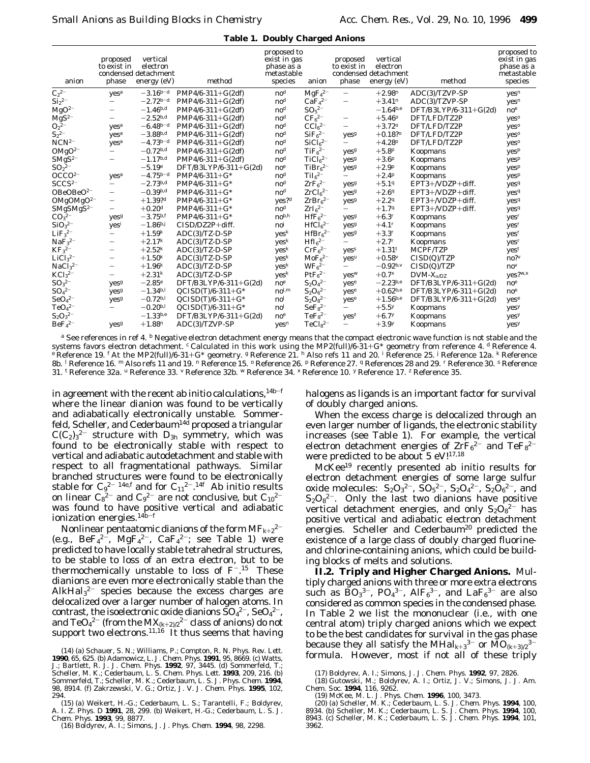|  |  | <b>Table 1. Doubly Charged Anions</b> |  |
|--|--|---------------------------------------|--|
|--|--|---------------------------------------|--|

| anion                             | proposed<br>to exist in<br>phase   | vertical<br>electron<br>condensed detachment<br>energy $(eV)$ | method                | proposed to<br>exist in gas<br>phase as a<br>metastable<br>species | anion                           | proposed<br>to exist in<br>phase           | vertical<br>electron<br>condensed detachment<br>energy (eV) | method                | proposed to<br>exist in gas<br>phase as a<br>metastable<br>species |
|-----------------------------------|------------------------------------|---------------------------------------------------------------|-----------------------|--------------------------------------------------------------------|---------------------------------|--------------------------------------------|-------------------------------------------------------------|-----------------------|--------------------------------------------------------------------|
| $C_2^2$ <sup>-</sup>              | yes <sup>a</sup>                   | $-3.16^{b-d}$                                                 | $PMP4/6-311+G(2df)$   | $\mathbf{n}$ o <sup>d</sup>                                        | $MgF42-$                        | $\overline{\phantom{0}}$                   | $+2.98^n$                                                   | ADC(3)/TZVP-SP        | yes <sup>n</sup>                                                   |
| $\mathrm{Si}_2{}^{2-}$            | $\overline{\phantom{0}}$           | $-2.72^{b-d}$                                                 | $PMP4/6-311+G(2df)$   | $\mathbf{n}$ o <sup>d</sup>                                        | CaF <sub>4</sub> <sup>2–</sup>  | $\overline{\phantom{0}}$                   | $+3.41n$                                                    | ADC(3)/TZVP-SP        | yes <sup>n</sup>                                                   |
| $MgO2-$                           | $\overline{\phantom{0}}$           | $-1.46$ <sup>b,d</sup>                                        | $PMP4/6-311+G(2df)$   | $\mathbf{n}\mathbf{o}^d$                                           | $SO_5^{2-}$                     |                                            | $-1.64^{b,e}$                                               | DFT/B3LYP/6-311+G(2d) | $\mathbf{no}^e$                                                    |
| $\rm MgS^{2-}$                    | $\qquad \qquad -$                  | $-2.52$ <i>b,d</i>                                            | $PMP4/6-311+G(2df)$   | $\mathbf{n}\mathbf{o}^d$                                           | $CF_6^{2-}$                     | $\qquad \qquad -$                          | $+5.46^{\circ}$                                             | DFT/LFD/TZ2P          | $yes^o$                                                            |
| $O_2{}^{2-}$                      | yes <sup>a</sup>                   | $-6.48^{b-d}$                                                 | $PMP4/6-311+G(2df)$   | $\mathbf{n}\mathbf{o}^d$                                           | $CCl62-$                        | $\overline{\phantom{0}}$                   | $+3.72^{\circ}$                                             | DFT/LFD/TZ2P          | yes <sup>o</sup>                                                   |
| $S_2{}^{2-}$                      | yes <sup>a</sup>                   | $-3.88^{b,d}$                                                 | $PMP4/6-311+G(2df)$   | $\mathbf{n}\mathbf{o}^d$                                           | SiF <sub>6</sub> <sup>2–</sup>  | yes <sup>g</sup>                           | $+0.18?°$                                                   | DFT/LFD/TZ2P          | $yes^o$                                                            |
| $NCN^{2-}$                        | Yes <sup>a</sup>                   | $-4.73^{b-d}$                                                 | $PMP4/6-311+G(2df)$   | $\mathbf{n}\mathbf{o}^d$                                           | SiCl <sub>6</sub> <sup>2–</sup> | —                                          | $+4.28^{\circ}$                                             | DFT/LFD/TZ2P          | $yes^o$                                                            |
| $\rm O MgO^{2-}$                  | $\overline{\phantom{0}}$           | $-0.72$ <i>b,d</i>                                            | $PMP4/6-311+G(2df)$   | $\mathbf{n}\mathbf{o}^d$                                           | TiF <sub>6</sub> <sup>2–</sup>  | $\mathbf{v}\mathbf{e}\mathbf{s}\mathbf{s}$ | $+5.8^{p}$                                                  | Koopmans              | $yes^p$                                                            |
| $\ensuremath{\mathrm{SMgS^{2-}}}$ | —                                  | $-1.17^{b,d}$                                                 | $PMP4/6-311+G(2df)$   | $\mathbf{n}\mathbf{o}^d$                                           | TiCl <sub>6</sub> <sup>2–</sup> | yes <sup>g</sup>                           | $+3.6P$                                                     | Koopmans              | $yes^p$                                                            |
| $SO_2^{2-}$                       |                                    | $-5.19e$                                                      | DFT/B3LYP/6-311+G(2d) | $\mathbf{no}^e$                                                    | TiBr <sub>6</sub> <sup>2–</sup> | yes <sup>g</sup>                           | $+2.9P$                                                     | Koopmans              | $yes^p$                                                            |
| OCCO <sup>2</sup>                 | $yes^a$                            | $-4.75^{b-d}$                                                 | $PMP4/6-311+G*$       | $\mathbf{n}$ o <sup>d</sup>                                        | TiI <sub>6</sub> <sup>2–</sup>  | —                                          | $+2.4P$                                                     | Koopmans              | $yes^p$                                                            |
| SCCS <sup>2</sup>                 | $\overline{\phantom{0}}$           | $-2.73^{b,d}$                                                 | $PMP4/6-311+G*$       | $\mathbf{n}\mathbf{o}^d$                                           | $ZrF_6^{2-}$                    | yes <sup>g</sup>                           | $+5.19$                                                     | EPT3+/VDZP+diff.      | yes <sup>q</sup>                                                   |
| $OBeOBeO2-$                       | $\overline{\phantom{0}}$           | $-0.39$ <i>b,d</i>                                            | $PMP4/6-311+G*$       | $\mathbf{n}\mathbf{o}^d$                                           | $ZrCl62-$                       | Yes <sup>g</sup>                           | $+2.69$                                                     | EPT3+/VDZP+diff.      | yes <sup>q</sup>                                                   |
| $OMgOMgO2-$                       | $\qquad \qquad -$                  | $+1.39?^{d}$                                                  | $PMP4/6-311+G*$       | $\mathbf{v}\mathbf{e}\mathbf{s}$ ? <sup>d</sup>                    | ZrBr <sub>6</sub> <sup>2–</sup> | Yes <sup>g</sup>                           | $+2.29$                                                     | EPT3+/VDZP+diff.      | yes <sup>q</sup>                                                   |
| $SMgSMgS2-$                       | $\qquad \qquad -$                  | $+0.20d$                                                      | PMP4/6-311+G*         | $\mathbf{n}\mathbf{o}^d$                                           | $ZrI62-$                        | -                                          | $+1.79$                                                     | EPT3+/VDZP+diff.      | yes <sup>q</sup>                                                   |
| $CO_3{}^{2-}$                     | yesg                               | $-3.75^{b,f}$                                                 | $PMP4/6-311+G*$       | $no^{b,h}$                                                         | HfF <sub>6</sub> <sup>2–</sup>  | yes <sup>g</sup>                           | $+6.3r$                                                     | <b>Koopmans</b>       | yes <sup>r</sup>                                                   |
| SiO <sub>3</sub> <sup>2</sup>     | yesi                               | $-1.86$ <i>bJ</i>                                             | $CISD/DZ2P+diff.$     | $\mathbf{n}\mathbf{o}^j$                                           | HfCl <sub>6</sub> <sup>2–</sup> | yes <sup>g</sup>                           | $+4.1^{r}$                                                  | Koopmans              | yes <sup>r</sup>                                                   |
| LiF <sub>3</sub> <sup>2–</sup>    | $\overline{\phantom{0}}$           | $+1.59^{k}$                                                   | ADC(3)/TZ-D-SP        | yes <sup>k</sup>                                                   | HfBr <sub>6</sub> <sup>2–</sup> | yes <sup>g</sup>                           | $+3.3r$                                                     | Koopmans              | yes <sup>r</sup>                                                   |
| NaF <sub>3</sub> <sup>2–</sup>    | $\overline{\phantom{0}}$           | $+2.17^{k}$                                                   | $ADC(3)/TZ-D-SP$      | yes <sup>k</sup>                                                   | $HfI_6^{2-}$                    | —                                          | $+2.7^{r}$                                                  | Koopmans              | yes <sup>r</sup>                                                   |
| $KF_3^2$                          | $\qquad \qquad -$                  | $+2.52^{k}$                                                   | $ADC(3)/TZ-D-SP$      | yes <sup>k</sup>                                                   | CrF <sub>6</sub> <sup>2–</sup>  | yes <sup>s</sup>                           | $+1.31^{t}$                                                 | MCPF/TZP              | yes <sup>t</sup>                                                   |
| LiCl <sub>3</sub> <sup>2–</sup>   | $\qquad \qquad -$                  | $+1.50^{k}$                                                   | ADC(3)/TZ-D-SP        | yes <sup>k</sup>                                                   | $MoF62-$                        | Yes <sup>u</sup>                           | $+0.58V$                                                    | CISD(Q)/TZP           | no?                                                                |
| NaCl <sub>3</sub> <sup>2</sup>    | $\overline{\phantom{0}}$           | $+1.96^{k}$                                                   | $ADC(3)/TZ-D-SP$      | yes <sup>k</sup>                                                   | WF <sub>6</sub> <sup>2–</sup>   | $\overline{\phantom{0}}$                   | $-0.92^{b.v}$                                               | CISD(Q)/TZP           | $\mathbf{no}^{\nu}$                                                |
| $KCl32-$                          | $\qquad \qquad -$                  | $+2.31^{k}$                                                   | $ADC(3)/TZ-D-SP$      | yes <sup>k</sup>                                                   | PtF <sub>6</sub> <sup>2–</sup>  | yes <sup>w</sup>                           | $+0.7^{x}$                                                  | $DVM-X_{\alpha/DZ}$   | $yes?^{w,x}$                                                       |
| $SO_3^{2-}$                       | $\mathbf{v}\mathbf{e}\mathbf{s}^g$ | $-2.85e$                                                      | DFT/B3LYP/6-311+G(2d) | $\mathbf{no}^e$                                                    | $S_2O_4{}^{2-}$                 | $\mathbf{v}\mathbf{e}\mathbf{s}^e$         | $-2.23$ <sup>b,e</sup>                                      | DFT/B3LYP/6-311+G(2d) | no <sup>e</sup>                                                    |
| $SO_4{}^{2-}$                     | yes <sup>g</sup>                   | $-1.34$ <sup>b,1</sup>                                        | $QCISD(T)/6-311+G^*$  | $\mathbf{n}\mathbf{o}^{l,m}$                                       | $S_2O_6^{2-}$                   | yes <sup>e</sup>                           | $+0.62$ <sup>b,e</sup>                                      | DFT/B3LYP/6-311+G(2d) | no <sup>e</sup>                                                    |
| $\text{SeO}_4{}^{2-}$             | yesg                               | $-0.72^{b,l}$                                                 | $QCISD(T)/6-311+G^*$  | $\mathbf{n}$ o <sup><math>l</math></sup>                           | $S_2O_8^{2-}$                   | $\mathbf{yes}^e$                           | $+1.56^{b,e}$                                               | DFT/B3LYP/6-311+G(2d) | yes <sup>e</sup>                                                   |
| TeO <sub>4</sub> <sup>2–</sup>    | $\overline{\phantom{0}}$           | $-0.20^{b,l}$                                                 | $QCISD(T)/6-311+G^*$  | $\mathbf{n}\mathbf{o}^I$                                           | $\rm SeFs^{2-}$                 | -                                          | $+5.5^y$                                                    | <b>Koopmans</b>       | yes <sup>y</sup>                                                   |
| $S_2O_3^{2-}$                     |                                    | $-1.33^{b,e}$                                                 | DFT/B3LYP/6-311+G(2d) | $\mathbf{no}^e$                                                    | $TeFs^{2-}$                     | Yes <sup>z</sup>                           | $+6.7^{y}$                                                  | Koopmans              | yes <sup>y</sup>                                                   |
| BeF <sub>4</sub> <sup>2–</sup>    | yesg                               | $+1.88^n$                                                     | ADC(3)/TZVP-SP        | yes <sup>n</sup>                                                   | $TeCl82-$                       | —                                          | $+3.9y$                                                     | Koopmans              | yes <sup>y</sup>                                                   |

*a* See references in ref 4. *b* Negative electron detachment energy means that the compact electronic wave function is not stable and the systems favors electron detachment. *<sup>c</sup>* Calculated in this work using the MP2(full)/6-31+G\* geometry from reference 4. *<sup>d</sup>* Reference 4. *<sup>e</sup>* Reference 19. *<sup>f</sup>* At the MP2(full)/6-31+G\* geometry. *<sup>g</sup>* Reference 21. *<sup>h</sup>* Also refs 11 and 20. *<sup>i</sup>* Reference 25. *<sup>j</sup>* Reference 12a. *<sup>k</sup>* Reference 8b. *<sup>l</sup>* Reference 16. *<sup>m</sup>* Also refs 11 and 19. *<sup>n</sup>* Reference 15. *<sup>o</sup>* Reference 26. *<sup>p</sup>* Reference 27. *<sup>q</sup>* References 28 and 29. *<sup>r</sup>* Reference 30. *<sup>s</sup>* Reference 31. *<sup>t</sup>* Reference 32a. *<sup>u</sup>* Reference 33. *<sup>v</sup>* Reference 32b. *<sup>w</sup>* Reference 34. *<sup>x</sup>* Reference 10. *<sup>y</sup>* Reference 17. *<sup>z</sup>* Reference 35.

in agreement with the recent ab initio calculations,  $14b-f$ where the linear dianion was found to be vertically and adiabatically electronically unstable. Sommerfeld, Scheller, and Cederbaum<sup>14d</sup> proposed a triangular  $C(C_2)_{3}$ <sup>2-</sup> structure with  $D_{3h}$  symmetry, which was found to be electronically stable with respect to vertical and adiabatic autodetachment and stable with respect to all fragmentational pathways. Similar branched structures were found to be electronically stable for  $C_9^{2-14e,f}$  and for  $C_{11}^{2-14f}$  Ab initio results on linear  $C_8^2$ <sup>2-</sup> and  $C_9^2$ <sup>2-</sup> are not conclusive, but  $C_{10}^2$ <sup>2-</sup> was found to have positive vertical and adiabatic ionization energies.<sup>14b-f</sup>

Nonlinear pentaatomic dianions of the form  $\rm MF_{\it k+2}^{\it 2-}$ (e.g.,  $\text{BeF}_4^2$ <sup>2-</sup>,  $\text{MgF}_4^2$ <sup>2-</sup>,  $\text{CaF}_4^2$ <sup>2-</sup>; see Table 1) were predicted to have locally stable tetrahedral structures, to be stable to loss of an extra electron, but to be thermochemically unstable to loss of  $F^{-15}$  These dianions are even more electronically stable than the  $AlkHa<sub>3</sub><sup>2-</sup>$  species because the excess charges are delocalized over a larger number of halogen atoms. In contrast, the isoelectronic oxide dianions  $\text{SO}_4{}^{2-}$ , Se $\text{O}_4{}^{2-}$ , and  $\text{TeO}_4{}^{2-}$  (from the  $\text{MX}_{(k+2)/2}{}^{2-}$  class of anions) do not support two electrons. $11,16$  It thus seems that having

halogens as ligands is an important factor for survival of doubly charged anions.

When the excess charge is delocalized through an even larger number of ligands, the electronic stability increases (see Table 1). For example, the vertical electron detachment energies of  $\mathrm{ZrF_{6}}^{2-}$  and  $\mathrm{TeF_{8}}^{2-}$ were predicted to be about 5 eV!<sup>17,18</sup>

McKee19 recently presented ab initio results for electron detachment energies of some large sulfur oxide molecules:  $\rm S_2O_3{}^{2-},\ \rm \widetilde{SO}_5{}^{2-},\ \rm S_2O_4{}^{2-},\ \rm S_2\widetilde{O}_6{}^{2-},$  and  $S_2O_8^{2-}$ . Only the last two dianions have positive vertical detachment energies, and only  $S_2O_8^{2-}$  has positive vertical and adiabatic electron detachment energies. Scheller and Cederbaum<sup>20</sup> predicted the existence of a large class of doubly charged fluorineand chlorine-containing anions, which could be building blocks of melts and solutions.

**II.2. Triply and Higher Charged Anions.** Multiply charged anions with three or more extra electrons such as  $\rm{BO_3}^{3-}$ ,  $\rm{PO_4}^{3-}$ , Al $\rm{F_6}^{3-}$ , and  $\rm{LaF_6}^{3-}$  are also considered as common species in the condensed phase. In Table 2 we list the mononuclear (i.e., with one central atom) triply charged anions which we expect to be the best candidates for survival in the gas phase because they all satisfy the MHal $_{k+3}$ <sup>3–</sup> or  $\rm MO_{(k+3)/2}^{\bullet-}$ (14) (a) Schauer, S. N.; Williams, P.; Compton, R. N. *Phys. Rev. Lett.*<br>**90** 65 625 (b) Adamowicz L. *L Chem Phys* 1991 95 8669 (c) Watts **formula.** However, most if not all of these triply

**<sup>1990</sup>**, *65*, 625. (b) Adamowicz, L. *J. Chem. Phys.* **1991**, *95*, 8669. (c) Watts,<br>J.; Bartlett, R. J. *J. Chem. Phys.* **1992**, *97*, 3445. (d) Sommerfeld, T.;<br>Scheller, M. K.; Cederbaum, L. S. *Chem. Phys. Lett.* **1993** Sommerfeld, T.; Scheller, M. K.; Cederbaum, L. S. *J. Phys*. *Chem.* **1994**, *98*, 8914. (f) Zakrzewski, V. G.; Ortiz, J. V. *J. Chem. Phys.* **1995**, *102*, 294.

<sup>(15) (</sup>a) Weikert, H.-G.; Cederbaum, L. S.; Tarantelli, F.; Boldyrev, A. I. *Z. Phys. D* **1991**, *28*, 299. (b) Weikert, H.-G.; Cederbaum, L. S. *J. Chem. Phys*. **1993**, *99*, 8877.

<sup>(16)</sup> Boldyrev, A. I.; Simons, J. *J. Phys. Chem*. **1994**, *98*, 2298.

<sup>(17)</sup> Boldyrev, A. I.; Simons, J. *J. Chem. Phys*. **1992**, *97*, 2826.

<sup>(18)</sup> Gutowski, M.; Boldyrev, A. I.; Ortiz, J. V.; Simons, J. *J. Am. Chem. Soc*. **1994**, *116*, 9262.

<sup>(19)</sup> McKee, M. L. *J. Phys. Chem*. **1996**, *100*, 3473.

<sup>(20) (</sup>a) Scheller, M. K.; Cederbaum, L. S. *J. Chem. Phys*. **1994**, *100*, 8934. (b) Scheller, M. K.; Cederbaum, L. S. *J. Chem. Phys*. **1994**, *100*, 8943. (c) Scheller, M. K.; Cederbaum, L. S. *J. Chem. Phys*. **1994**, *101*, 3962.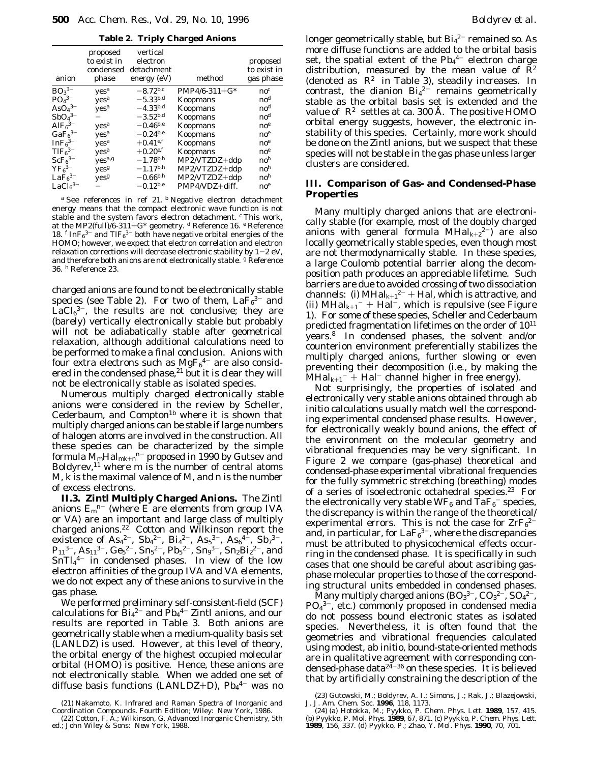**Table 2. Triply Charged Anions**

| anion                          | proposed<br>to exist in<br>phase           | vertical<br>electron<br>condensed detachment<br>energy (eV) | method            | proposed<br>to exist in<br>gas phase |
|--------------------------------|--------------------------------------------|-------------------------------------------------------------|-------------------|--------------------------------------|
| BO <sub>3</sub> <sup>3–</sup>  | yes <sup>a</sup>                           | $-8.72^{b,c}$                                               | $PMP4/6-311+G*$   | $\mathbf{n}$ o $^c$                  |
| $PO43-$                        | ves <sup>a</sup>                           | $-5.33^{b,d}$                                               | <b>Koopmans</b>   | $\mathbf{n}\mathbf{o}^d$             |
| $AsO43-$                       | yes <sup>a</sup>                           | $-4.33^{b,d}$                                               | Koopmans          | $\mathbf{n}$ o <sup>d</sup>          |
| $SbO43-$                       |                                            | $-3.52^{b,d}$                                               | Koopmans          | $\mathbf{n}$ o <sup>d</sup>          |
| AlF <sub>6</sub> <sup>3–</sup> | yes <sup>a</sup>                           | $-0.46$ <i>b,e</i>                                          | Koopmans          | $\mathbf{no}^e$                      |
| $GaF6$ <sup>3-</sup>           | yes <sup>a</sup>                           | $-0.24$ <i>b,e</i>                                          | Koopmans          | $\mathbf{no}^e$                      |
| InF <sub>6</sub> <sup>3–</sup> | ves <sup>a</sup>                           | $+0.41^{e,f}$                                               | Koopmans          | $\mathbf{no}^e$                      |
| TIF <sub>6</sub> <sup>3–</sup> | ves <sup>a</sup>                           | $+0.20$ <sup>e,f</sup>                                      | Koopmans          | $\mathbf{no}^e$                      |
| ScF <sub>6</sub> <sup>3–</sup> | yes <sup>a,g</sup>                         | $-1.78^{b,h}$                                               | $MP2/VTZDZ + ddp$ | no <sup>h</sup>                      |
| $YF_6^{3-}$                    | yesg                                       | $-1.17^{b,h}$                                               | MP2/VTZDZ+ddp     | no <sup>h</sup>                      |
| LaF <sub>6</sub> <sup>3–</sup> | $\mathbf{y}\mathbf{e}\mathbf{s}\mathbf{e}$ | $-0.66^{b,h}$                                               | MP2/VTZDZ+ddp     | no <sup>h</sup>                      |
| $LaCl63-$                      |                                            | $-0.12$ <i>b,e</i>                                          | PMP4/VDZ+diff.    | $\mathbf{no}^e$                      |

*<sup>a</sup>* See references in ref 21. *<sup>b</sup>* Negative electron detachment energy means that the compact electronic wave function is not stable and the system favors electron detachment. *<sup>c</sup>* This work, at the MP2(full)/6-311+G\* geometry. *<sup>d</sup>* Reference 16. *<sup>e</sup>* Reference 18.  $f \text{In} F_6^{3-}$  and  $T l F_6^{3-}$  both have negative orbital energies of the HOMO; however, we expect that electron correlation and electron relaxation corrections will decrease electronic stability by  $1-2$  eV, and therefore both anions are not electronically stable. *<sup>g</sup>* Reference 36. *<sup>h</sup>* Reference 23.

charged anions are found to not be electronically stable species (see Table 2). For two of them,  $LaF<sub>6</sub><sup>3-</sup>$  and  $LaCl<sub>6</sub><sup>3-</sup>$ , the results are not conclusive; they are (barely) vertically electronically stable but probably will not be adiabatically stable after geometrical relaxation, although additional calculations need to be performed to make a final conclusion. Anions with four extra electrons such as  $MgF_6^{4-}$  are also considered in the condensed phase, $21$  but it is clear they will not be electronically stable as isolated species.

Numerous multiply charged *electronically stable* anions were considered in the review by Scheller, Cederbaum, and  $Compton<sup>1b</sup>$  where it is shown that multiply charged anions can be stable if large numbers of halogen atoms are involved in the construction. All these species can be characterized by the simple formula M*m*Hal*mk*+*<sup>n</sup> <sup>n</sup>*- proposed in 1990 by Gutsev and Boldyrev,<sup>11</sup> where  $m$  is the number of central atoms M, *k* is the maximal valence of M, and *n* is the number of excess electrons.

**II.3. Zintl Multiply Charged Anions.** The Zintl anions  $E_m^{n-}$  (where E are elements from group IVA or VA) are an important and large class of multiply charged anions.<sup>22</sup> Cotton and Wilkinson report the existence of As<sub>4</sub><sup>2-</sup>, Sb<sub>4</sub><sup>2-</sup>, Bi<sub>4</sub><sup>2-</sup>, As<sub>5</sub><sup>3-</sup>, As<sub>6</sub><sup>4-</sup>, Sb<sub>7</sub><sup>3-</sup>,  $P_{11}^{3-}$ , As<sub>11</sub><sup>3-</sup>, Ge<sub>5</sub><sup>2-</sup>, Sn<sub>5</sub><sup>2-</sup>, Pb<sub>5</sub><sup>2-</sup>, Sn<sub>9</sub><sup>3-</sup>, Sn<sub>2</sub>Bi<sub>2</sub><sup>2-</sup>, and  $SnTI<sub>4</sub><sup>4-</sup>$  in condensed phases. In view of the low electron affinities of the group IVA and VA elements, we do not expect any of these anions to survive in the gas phase.

We performed preliminary self-consistent-field (SCF) calculations for  $\overline{Bi_4}^{2-}$  and  $\overline{Pb_4}^{4-}$  Zintl anions, and our results are reported in Table 3. Both anions are geometrically stable when a medium-quality basis set (LANLDZ) is used. However, at this level of theory, the orbital energy of the highest occupied molecular orbital (HOMO) is positive. Hence, these anions are not electronically stable. When we added one set of diffuse basis functions (LANLDZ+D),  $Pb_4$ <sup>4-</sup> was no

longer geometrically stable, but  $Bi_4^2$   $^-$  remained so. As more diffuse functions are added to the orbital basis set, the spatial extent of the  $Pb_4{}^{4-}$  electron charge distribution, measured by the mean value of  $R^2$ (denoted as  $\langle R^2 \rangle$  in Table 3), steadily increases. In contrast, the dianion  $Bi_4^2$  remains geometrically stable as the orbital basis set is extended and the value of  $\langle R^2 \rangle$  settles at ca. 300 Å. The positive HOMO orbital energy suggests, however, the electronic instability of this species. Certainly, more work should be done on the Zintl anions, but we suspect that these species will not be stable in the gas phase unless larger clusters are considered.

### **III. Comparison of Gas- and Condensed-Phase Properties**

Many multiply charged anions that are electronically stable (for example, most of the doubly charged anions with general formula MHal*k*+<sup>2</sup> <sup>2</sup>-) are also locally geometrically stable species, even though most are not thermodynamically stable. In these species, a large Coulomb potential barrier along the decomposition path produces an appreciable lifetime. Such barriers are due to avoided crossing of two dissociation channels: (i)  $MHal_{k+1}^{2-}$  + Hal, which is attractive, and (ii)  $MHal<sub>k+1</sub><sup>-</sup> + Hal<sup>-</sup>$ , which is repulsive (see Figure 1). For some of these species, Scheller and Cederbaum predicted fragmentation lifetimes on the order of  $10^{11}$ years.8 In condensed phases, the solvent and/or counterion environment preferentially stabilizes the multiply charged anions, further slowing or even preventing their decomposition (i.e., by making the **MHal<sub>k+1</sub><sup>-3</sup> Hal<sup>-</sup> channel higher in free energy).** 

Not surprisingly, the properties of isolated and electronically very stable anions obtained through *ab initio* calculations usually match well the corresponding experimental condensed phase results. However, for electronically weakly bound anions, the effect of the environment on the molecular geometry and vibrational frequencies may be very significant. In Figure 2 we compare (gas-phase) theoretical and condensed-phase experimental vibrational frequencies for the fully symmetric stretching (breathing) modes of a series of isoelectronic octahedral species.23 For the electronically very stable WF<sub>6</sub> and  $\mathrm{\dot{TaF_{6}}^-}$  species, the discrepancy is within the range of the theoretical/ experimental errors. This is not the case for  $\text{ZrF}_6^{2-}$ and, in particular, for La $\mathrm{F_6^{3-}}$ , where the discrepancies must be attributed to physicochemical effects occurring in the condensed phase. It is specifically in such cases that one should be careful about ascribing gasphase molecular properties to those of the corresponding structural units embedded in condensed phases.

 $\rm{Many}$  multiply charged anions (BO $_3{}^{3-}$ , CO $_3{}^{2-}$ , SO $_4{}^{2-}$ ,  $PO<sub>4</sub><sup>3-</sup>$ , etc.) commonly proposed in condensed media do not possess bound electronic states as isolated species. Nevertheless, it is often found that the geometries and vibrational frequencies calculated using modest, *ab initio*, bound-state-oriented methods are in qualitative agreement with corresponding condensed-phase data<sup>24–36</sup> on these species. It is believed that by artificially constraining the description of the

(23) Gutowski, M.; Boldyrev, A. I.; Simons, J.; Rak, J.; Blazejowski,

J. *J. Am. Chem. Soc.* **1996**, *118, 1173.*<br>(24) (a) Hotokka, M.; Pyykko, P. *Chem. Phys. Lett*. **1989**, *157*, 415<br>(b) Pyykko, P. *Mol. Phys.* **1989**, 67, 871. (c) Pyykko, P. *Chem. Phys. Lett.*<br>**1989**, *156,* 337. (d) Py

<sup>(21)</sup> Nakamoto, K. *Infrared and Raman Spectra of Inorganic and Coordination Compounds. Fourth Edition*; Wiley: New York, 1986.

<sup>(22)</sup> Cotton, F. A.; Wilkinson, G. *Advanced Inorganic Chemistry*, 5th ed.; John Wiley & Sons: New York, 1988.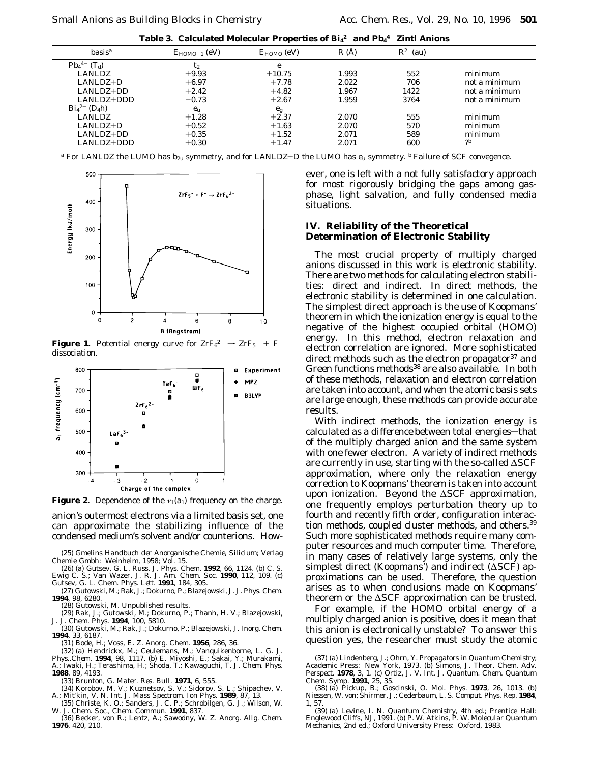|  |  |  |  |  |  | Table 3. Calculated Molecular Properties of ${\bf Bi_4}^{2-}$ and ${\bf Pb_4}^{4-}$ Zintl Anions |
|--|--|--|--|--|--|--------------------------------------------------------------------------------------------------|
|--|--|--|--|--|--|--------------------------------------------------------------------------------------------------|

| basis <sup>a</sup>    | $E_{HOMO-1}$ (eV) | $E_{HOMO}$ (eV) | R(A)  | $\langle R^2 \rangle$ (au) |               |
|-----------------------|-------------------|-----------------|-------|----------------------------|---------------|
| $Pb_4^{4-}$ $(T_d)$   | t2                | e               |       |                            |               |
| <b>LANLDZ</b>         | $+9.93$           | $+10.75$        | 1.993 | 552                        | minimum       |
| $LANLDZ+D$            | $+6.97$           | $+7.78$         | 2.022 | 706                        | not a minimum |
| $LANLDZ+DD$           | $+2.42$           | $+4.82$         | 1.967 | 1422                       | not a minimum |
| LANLDZ+DDD            | $-0.73$           | $+2.67$         | 1.959 | 3764                       | not a minimum |
| $Bi_4{}^{2-} (D_4 h)$ | $e_{\rm u}$       | $e_{g}$         |       |                            |               |
| <b>LANLDZ</b>         | $+1.28$           | $+2.37$         | 2.070 | 555                        | minimum       |
| $LANLDZ+D$            | $+0.52$           | $+1.63$         | 2.070 | 570                        | minimum       |
| $LANLDZ+DD$           | $+0.35$           | $+1.52$         | 2.071 | 589                        | minimum       |
| LANLDZ+DDD            | $+0.30$           | $+1.47$         | 2.071 | 600                        | 2b            |
|                       |                   |                 |       |                            |               |

*a* For LANLDZ the LUMO has b<sub>2u</sub> symmetry, and for LANLDZ+D the LUMO has e<sub>u</sub> symmetry. *b* Failure of SCF convegence.



**Figure 1.** Potential energy curve for  $\text{ZrF}_6^{2-} \rightarrow \text{ZrF}_5^{-} + \text{F}^{-}$ dissociation.



**Figure 2.** Dependence of the  $v_1(a_1)$  frequency on the charge.

anion's outermost electrons via a limited basis set, one can approximate the stabilizing influence of the condensed medium's solvent and/or counterions. How-

(25) *Gmelins Handbuch der Anorganische Chemie, Silicium*; Verlag Chemie Gmbh: Weinheim, 1958; Vol. 15.

(26) (a) Gutsev, G. L. *Russ. J. Phys. Chem*. **1992**, *66*, 1124. (b) C. S. Ewig C. S.; Van Wazer, J. R. *J. Am. Chem. Soc*. **1990**, *112*, 109. (c)

Gutsev, G. L. *Chem. Phys. Lett.* **1991**, *184*, 305. (27) Gutowski, M.; Rak, J.; Dokurno, P.; Blazejowski, J. *J. Phys. Chem*. **1994**, *98*, 6280.

(28) Gutowski, M. Unpublished results.

(29) Rak, J.; Gutowski, M.; Dokurno, P.; Thanh, H. V.; Blazejowski, J. *J. Chem. Phys*. **1994**, *100*, 5810.

(30) Gutowski, M.; Rak, J.; Dokurno, P.; Blazejowski, J. *Inorg. Chem*. **1994**, *33*, 6187.

(31) Bode, H.; Voss, E. *Z. Anorg. Chem*. **1956**, *286*, 36.

(32) (a) Hendrickx, M.; Ceulemans, M.; Vanquikenborne, L. G. *J. Phys..Chem.* **1994**, *98*, 1117. (b) E. Miyoshi, E.; Sakai, Y.; Murakami, A.; Iwaki, H.; Terashima, H.; Shoda, T.; Kawaguchi, T. *J. Chem. Phys*. **1988**, *89*, 4193.

(33) Brunton, G. *Mater. Res. Bull*. **1971**, *6*, 555.

(34) Korobov, M. V.; Kuznetsov, S. V.; Sidorov, S. L.; Shipachev, V. A.; Mit'kin, V. N. *Int. J. Mass Spectrom. Ion Phys*. **1989**, *87*, 13.

(35) Christe, K. O.; Sanders, J. C. P.; Schrobilgen, G. J.; Wilson, W. W. *J. Chem. Soc., Chem. Commun*. **1991**, 837.

(36) Becker, von R.; Lentz, A.; Sawodny, W. *Z. Anorg. Allg. Chem*. **1976**, *420*, 210.

ever, one is left with a not fully satisfactory approach for most rigorously bridging the gaps among gasphase, light salvation, and fully condensed media situations.

## **IV. Reliability of the Theoretical Determination of Electronic Stability**

The most crucial property of multiply charged anions discussed in this work is electronic stability. There are two methods for calculating electron stabilities: direct and indirect. In direct methods, the electronic stability is determined in *one calculation*. The simplest direct approach is the use of Koopmans' theorem in which the ionization energy is equal to the negative of the highest occupied orbital (HOMO) energy. In this method, electron relaxation and electron correlation are ignored. More sophisticated direct methods such as the electron propagator $37$  and Green functions methods<sup>38</sup> are also available. In both of these methods, relaxation and electron correlation are taken into account, and when the atomic basis sets are large enough, these methods can provide accurate results.

With indirect methods, the ionization energy is calculated *as a difference* between total energies-that of the multiply charged anion and the same system with one fewer electron. A variety of indirect methods are currently in use, starting with the so-called ∆SCF approximation, where only the relaxation energy correction to Koopmans' theorem is taken into account upon ionization. Beyond the ∆SCF approximation, one frequently employs perturbation theory up to fourth and recently fifth order, configuration interaction methods, coupled cluster methods, and others.39 Such more sophisticated methods require many computer resources and much computer time. Therefore, in many cases of relatively large systems, only the simplest direct (Koopmans') and indirect (∆SCF) approximations can be used. Therefore, the question arises as to when conclusions made on Koopmans' theorem or the ∆SCF approximation can be trusted.

For example, if the HOMO orbital energy of a multiply charged anion is positive, does it mean that this anion is electronically unstable? To answer this question yes, the researcher must study the atomic

<sup>(37) (</sup>a) Lindenberg, J.; Ohrn, Y. *Propagators in Quantum Chemistry*; Academic Press: New York, 1973. (b) Simons, J. *Theor. Chem. Adv. Perspect.* **1978**, *3*, 1. (c) Ortiz, J. V. *Int. J. Quantum. Chem. Quantum Chem. Symp*. **1991**, *25*, 35.

<sup>(38) (</sup>a) Pickup, B.; Goscinski, O. *Mol. Phys*. **1973**, *26*, 1013. (b) Niessen, W. von; Shirmer, J.; Cederbaum, L. S. *Comput. Phys. Rep*. **1984**, *1*, 57.

<sup>(39) (</sup>a) Levine, I. N. *Quantum Chemistry*, 4th ed.; Prentice Hall: Englewood Cliffs, NJ, 1991. (b) P. W. Atkins, P. W. *Molecular Quantum Mechanics*, 2nd ed.; Oxford University Press: Oxford, 1983.